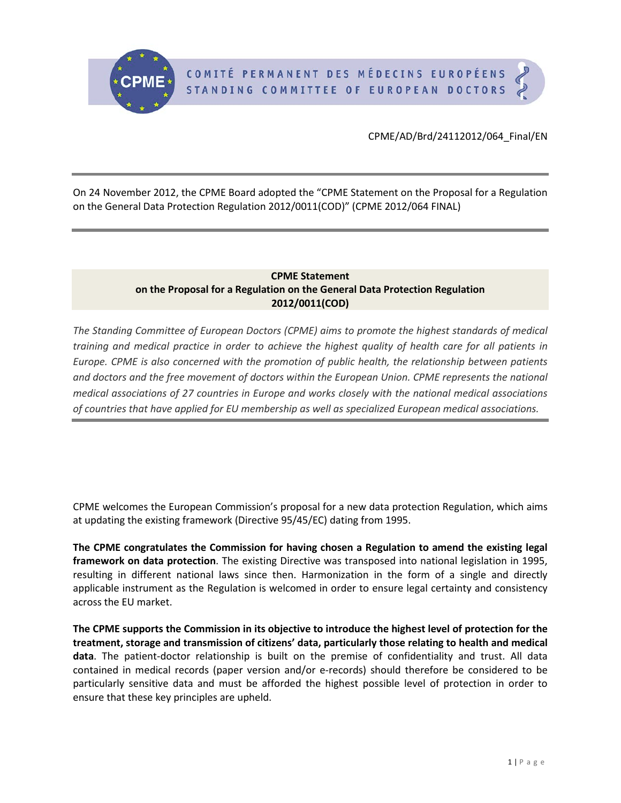On 24 November 2012, the CPME Board adopted the "CPME Statement on the Proposal for a Regulation on the General Data Protection Regulation 2012/0011(COD)" (CPME 2012/064 FINAL)

# **CPME Statement on the Proposal for a Regulation on the General Data Protection Regulation 2012/0011(COD)**

*The Standing Committee of European Doctors (CPME) aims to promote the highest standards of medical training and medical practice in order to achieve the highest quality of health care for all patients in Europe. CPME is also concerned with the promotion of public health, the relationship between patients and doctors and the free movement of doctors within the European Union. CPME represents the national medical associations of 27 countries in Europe and works closely with the national medical associations of countries that have applied for EU membership as well as specialized European medical associations.*

CPME welcomes the European Commission's proposal for a new data protection Regulation, which aims at updating the existing framework (Directive 95/45/EC) dating from 1995.

**The CPME congratulates the Commission for having chosen a Regulation to amend the existing legal framework on data protection**. The existing Directive was transposed into national legislation in 1995, resulting in different national laws since then. Harmonization in the form of a single and directly applicable instrument as the Regulation is welcomed in order to ensure legal certainty and consistency across the EU market.

<span id="page-0-0"></span>**The CPME supports the Commission in its objective to introduce the highest level of protection for the treatment, storage and transmission of citizens' data, particularly those relating to health and medical data**. The patient-doctor relationship is built on the premise of confidentiality and trust. All data contained in medical records (paper version and/or e-records) should therefore be considered to be particularly sensitive data and must be afforded the highest possible level of protection in order to ensure that these key principles are upheld.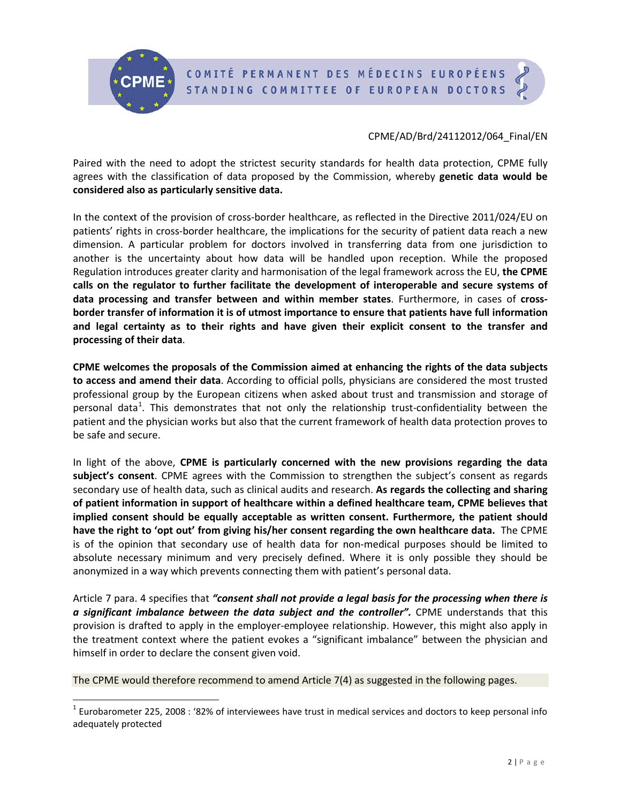

Paired with the need to adopt the strictest security standards for health data protection, CPME fully agrees with the classification of data proposed by the Commission, whereby **genetic data would be considered also as particularly sensitive data.**

In the context of the provision of cross-border healthcare, as reflected in the Directive 2011/024/EU on patients' rights in cross-border healthcare, the implications for the security of patient data reach a new dimension. A particular problem for doctors involved in transferring data from one jurisdiction to another is the uncertainty about how data will be handled upon reception. While the proposed Regulation introduces greater clarity and harmonisation of the legal framework across the EU, **the CPME calls on the regulator to further facilitate the development of interoperable and secure systems of data processing and transfer between and within member states**. Furthermore, in cases of **crossborder transfer of information it is of utmost importance to ensure that patients have full information and legal certainty as to their rights and have given their explicit consent to the transfer and processing of their data**.

**CPME welcomes the proposals of the Commission aimed at enhancing the rights of the data subjects to access and amend their data**. According to official polls, physicians are considered the most trusted professional group by the European citizens when asked about trust and transmission and storage of personal data<sup>[1](#page-0-0)</sup>. This demonstrates that not only the relationship trust-confidentiality between the patient and the physician works but also that the current framework of health data protection proves to be safe and secure.

In light of the above, **CPME is particularly concerned with the new provisions regarding the data subject's consent**. CPME agrees with the Commission to strengthen the subject's consent as regards secondary use of health data, such as clinical audits and research. **As regards the collecting and sharing of patient information in support of healthcare within a defined healthcare team, CPME believes that implied consent should be equally acceptable as written consent. Furthermore, the patient should have the right to 'opt out' from giving his/her consent regarding the own healthcare data.** The CPME is of the opinion that secondary use of health data for non-medical purposes should be limited to absolute necessary minimum and very precisely defined. Where it is only possible they should be anonymized in a way which prevents connecting them with patient's personal data.

Article 7 para. 4 specifies that *"consent shall not provide a legal basis for the processing when there is a significant imbalance between the data subject and the controller".* CPME understands that this provision is drafted to apply in the employer-employee relationship. However, this might also apply in the treatment context where the patient evokes a "significant imbalance" between the physician and himself in order to declare the consent given void.

<span id="page-1-0"></span>The CPME would therefore recommend to amend Article 7(4) as suggested in the following pages.

 $1$  Eurobarometer 225, 2008 : '82% of interviewees have trust in medical services and doctors to keep personal info adequately protected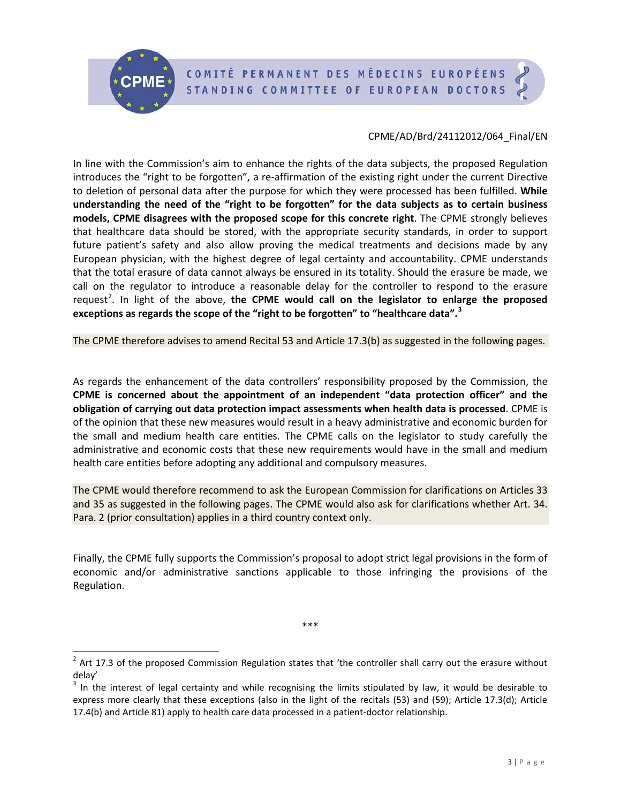# COMITÉ PERMANENT DES MÉDECINS EUROPÉENS STANDING COMMITTEE OF EUROPEAN DOCTORS



# CPME/AD/Brd/24112012/064\_Final/EN

In line with the Commission's aim to enhance the rights of the data subjects, the proposed Regulation introduces the "right to be forgotten", a re-affirmation of the existing right under the current Directive to deletion of personal data after the purpose for which they were processed has been fulfilled. **While understanding the need of the "right to be forgotten" for the data subjects as to certain business models, CPME disagrees with the proposed scope for this concrete right**. The CPME strongly believes that healthcare data should be stored, with the appropriate security standards, in order to support future patient's safety and also allow proving the medical treatments and decisions made by any European physician, with the highest degree of legal certainty and accountability. CPME understands that the total erasure of data cannot always be ensured in its totality. Should the erasure be made, we call on the regulator to introduce a reasonable delay for the controller to respond to the erasure request<sup>[2](#page-1-0)</sup>. In light of the above, **the CPME would call on the legislator to enlarge the proposed exceptions as regards the scope of the "right to be forgotten" to "healthcare data". [3](#page-2-0)**

The CPME therefore advises to amend Recital 53 and Article 17.3(b) as suggested in the following pages.

As regards the enhancement of the data controllers' responsibility proposed by the Commission, the **CPME is concerned about the appointment of an independent "data protection officer" and the obligation of carrying out data protection impact assessments when health data is processed**. CPME is of the opinion that these new measures would result in a heavy administrative and economic burden for the small and medium health care entities. The CPME calls on the legislator to study carefully the administrative and economic costs that these new requirements would have in the small and medium health care entities before adopting any additional and compulsory measures.

The CPME would therefore recommend to ask the European Commission for clarifications on Articles 33 and 35 as suggested in the following pages. The CPME would also ask for clarifications whether Art. 34. Para. 2 (prior consultation) applies in a third country context only.

Finally, the CPME fully supports the Commission's proposal to adopt strict legal provisions in the form of economic and/or administrative sanctions applicable to those infringing the provisions of the Regulation.

 $2$  Art 17.3 of the proposed Commission Regulation states that 'the controller shall carry out the erasure without delay'

\*\*\*

<span id="page-2-0"></span> $3$  In the interest of legal certainty and while recognising the limits stipulated by law, it would be desirable to express more clearly that these exceptions (also in the light of the recitals (53) and (59); Article 17.3(d); Article 17.4(b) and Article 81) apply to health care data processed in a patient-doctor relationship.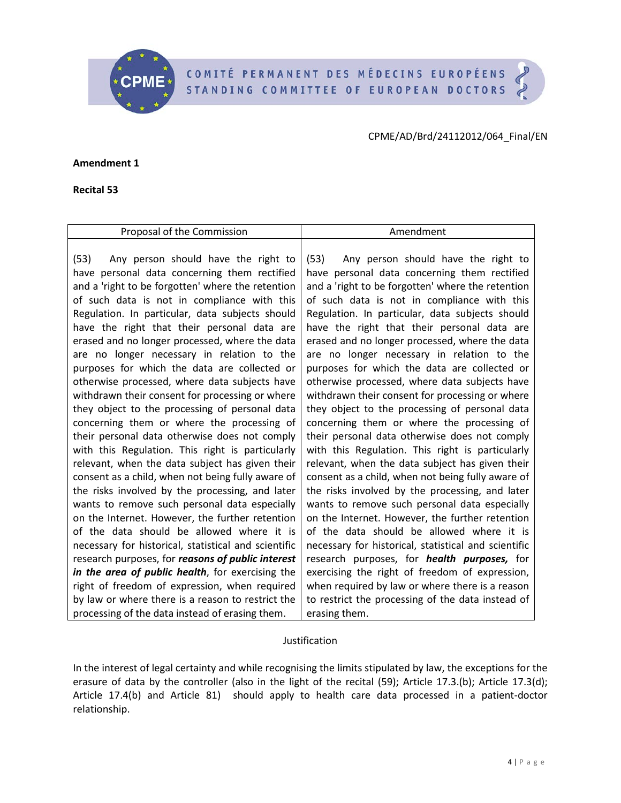COMITÉ PERMANENT DES MÉDECINS EUROPÉENS STANDING COMMITTEE OF EUROPEAN DOCTORS



**Amendment 1**

**Recital 53**

| Proposal of the Commission                           | Amendment                                            |
|------------------------------------------------------|------------------------------------------------------|
|                                                      |                                                      |
| Any person should have the right to<br>(53)          | Any person should have the right to<br>(53)          |
| have personal data concerning them rectified         | have personal data concerning them rectified         |
| and a 'right to be forgotten' where the retention    | and a 'right to be forgotten' where the retention    |
| of such data is not in compliance with this          | of such data is not in compliance with this          |
| Regulation. In particular, data subjects should      | Regulation. In particular, data subjects should      |
| have the right that their personal data are          | have the right that their personal data are          |
| erased and no longer processed, where the data       | erased and no longer processed, where the data       |
| are no longer necessary in relation to the           | are no longer necessary in relation to the           |
| purposes for which the data are collected or         | purposes for which the data are collected or         |
| otherwise processed, where data subjects have        | otherwise processed, where data subjects have        |
| withdrawn their consent for processing or where      | withdrawn their consent for processing or where      |
| they object to the processing of personal data       | they object to the processing of personal data       |
| concerning them or where the processing of           | concerning them or where the processing of           |
| their personal data otherwise does not comply        | their personal data otherwise does not comply        |
| with this Regulation. This right is particularly     | with this Regulation. This right is particularly     |
| relevant, when the data subject has given their      | relevant, when the data subject has given their      |
| consent as a child, when not being fully aware of    | consent as a child, when not being fully aware of    |
| the risks involved by the processing, and later      | the risks involved by the processing, and later      |
| wants to remove such personal data especially        | wants to remove such personal data especially        |
| on the Internet. However, the further retention      | on the Internet. However, the further retention      |
| of the data should be allowed where it is            | of the data should be allowed where it is            |
| necessary for historical, statistical and scientific | necessary for historical, statistical and scientific |
| research purposes, for reasons of public interest    | research purposes, for health purposes, for          |
| in the area of public health, for exercising the     | exercising the right of freedom of expression,       |
| right of freedom of expression, when required        | when required by law or where there is a reason      |
| by law or where there is a reason to restrict the    | to restrict the processing of the data instead of    |
| processing of the data instead of erasing them.      | erasing them.                                        |
|                                                      |                                                      |

#### Justification

In the interest of legal certainty and while recognising the limits stipulated by law, the exceptions for the erasure of data by the controller (also in the light of the recital (59); Article 17.3.(b); Article 17.3(d); Article 17.4(b) and Article 81) should apply to health care data processed in a patient-doctor relationship.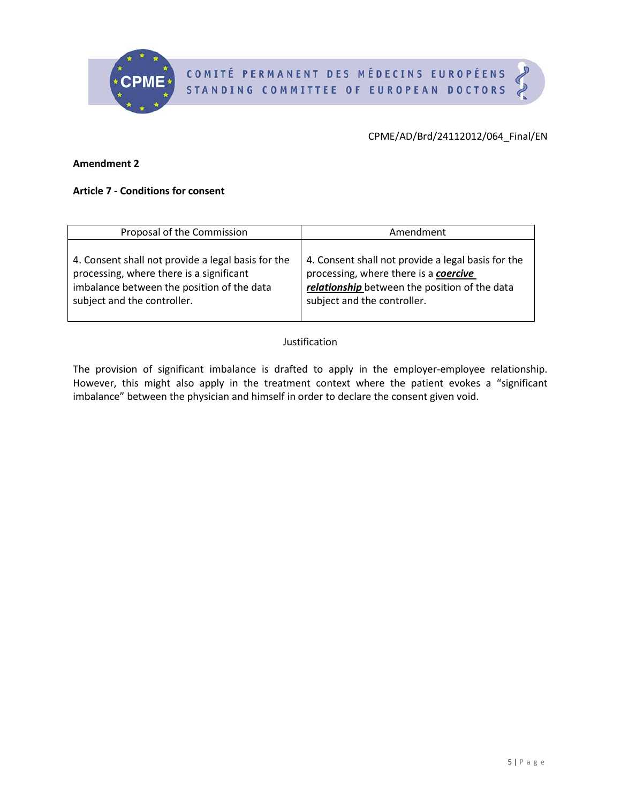

#### **Amendment 2**

# **Article 7 - Conditions for consent**

| Proposal of the Commission                         | Amendment                                          |
|----------------------------------------------------|----------------------------------------------------|
| 4. Consent shall not provide a legal basis for the | 4. Consent shall not provide a legal basis for the |
| processing, where there is a significant           | processing, where there is a coercive              |
| imbalance between the position of the data         | relationship between the position of the data      |
| subject and the controller.                        | subject and the controller.                        |

## Justification

The provision of significant imbalance is drafted to apply in the employer-employee relationship. However, this might also apply in the treatment context where the patient evokes a "significant imbalance" between the physician and himself in order to declare the consent given void.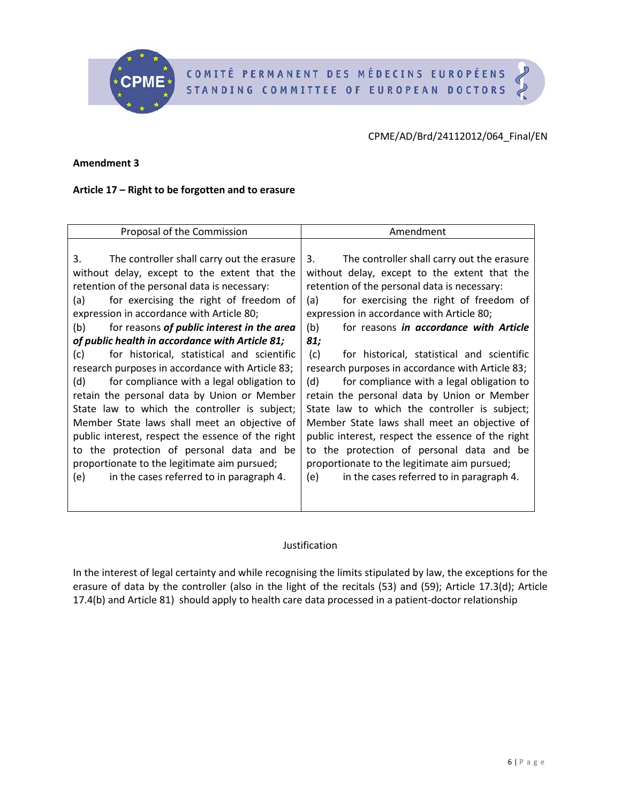COMITÉ PERMANENT DES MÉDECINS EUROPÉENS STANDING COMMITTEE OF EUROPEAN DOCTORS



#### **Amendment 3**

## **Article 17 – Right to be forgotten and to erasure**

| Proposal of the Commission                               | Amendment                                         |
|----------------------------------------------------------|---------------------------------------------------|
|                                                          |                                                   |
| 3.<br>The controller shall carry out the erasure         | The controller shall carry out the erasure<br>3.  |
| without delay, except to the extent that the             | without delay, except to the extent that the      |
| retention of the personal data is necessary:             | retention of the personal data is necessary:      |
| for exercising the right of freedom of<br>(a)            | for exercising the right of freedom of<br>(a)     |
| expression in accordance with Article 80;                | expression in accordance with Article 80;         |
| for reasons of <i>public</i> interest in the area<br>(b) | (b)<br>for reasons in accordance with Article     |
| of public health in accordance with Article 81;          | 81;                                               |
| for historical, statistical and scientific<br>(c)        | (c)<br>for historical, statistical and scientific |
| research purposes in accordance with Article 83;         | research purposes in accordance with Article 83;  |
| for compliance with a legal obligation to<br>(d)         | for compliance with a legal obligation to<br>(d)  |
| retain the personal data by Union or Member              | retain the personal data by Union or Member       |
| State law to which the controller is subject;            | State law to which the controller is subject;     |
| Member State laws shall meet an objective of             | Member State laws shall meet an objective of      |
| public interest, respect the essence of the right        | public interest, respect the essence of the right |
| the protection of personal data and be<br>to             | to the protection of personal data and be         |
| proportionate to the legitimate aim pursued;             | proportionate to the legitimate aim pursued;      |
| (e)<br>in the cases referred to in paragraph 4.          | in the cases referred to in paragraph 4.<br>(e)   |
|                                                          |                                                   |
|                                                          |                                                   |

#### Justification

In the interest of legal certainty and while recognising the limits stipulated by law, the exceptions for the erasure of data by the controller (also in the light of the recitals (53) and (59); Article 17.3(d); Article 17.4(b) and Article 81) should apply to health care data processed in a patient-doctor relationship